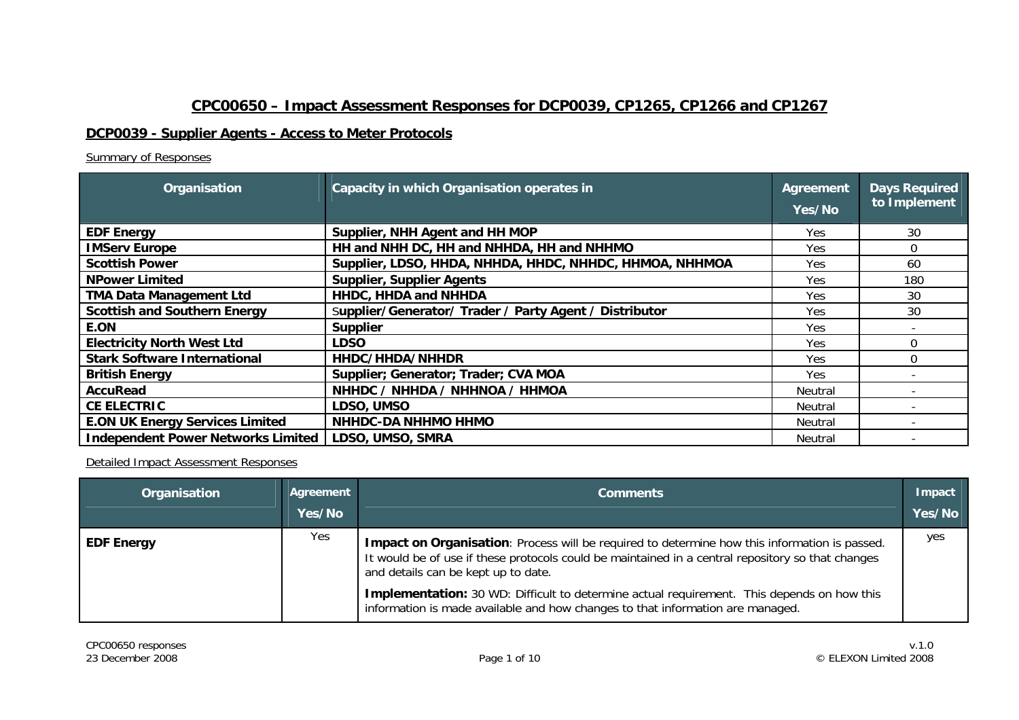# **CPC00650 – Impact Assessment Responses for DCP0039, CP1265, CP1266 and CP1267**

## **DCP0039 - Supplier Agents - Access to Meter Protocols**

### Summary of Responses

| Organisation                           | Capacity in which Organisation operates in              | Agreement<br>Yes/No | <b>Days Required</b><br>to Implement |
|----------------------------------------|---------------------------------------------------------|---------------------|--------------------------------------|
| <b>EDF Energy</b>                      | Supplier, NHH Agent and HH MOP                          | Yes.                | 30                                   |
| <b>IMServ Europe</b>                   | HH and NHH DC, HH and NHHDA, HH and NHHMO               | Yes.                | 0                                    |
| <b>Scottish Power</b>                  | Supplier, LDSO, HHDA, NHHDA, HHDC, NHHDC, HHMOA, NHHMOA | <b>Yes</b>          | 60                                   |
| <b>NPower Limited</b>                  | <b>Supplier, Supplier Agents</b>                        | Yes                 | 180                                  |
| <b>TMA Data Management Ltd</b>         | HHDC, HHDA and NHHDA                                    | <b>Yes</b>          | 30                                   |
| <b>Scottish and Southern Energy</b>    | Supplier/Generator/ Trader / Party Agent / Distributor  | Yes                 | 30                                   |
| E.ON                                   | <b>Supplier</b>                                         | Yes.                |                                      |
| <b>Electricity North West Ltd</b>      | <b>LDSO</b>                                             | <b>Yes</b>          | 0                                    |
| <b>Stark Software International</b>    | HHDC/HHDA/NHHDR                                         | <b>Yes</b>          | 0                                    |
| <b>British Energy</b>                  | Supplier; Generator; Trader; CVA MOA                    | Yes                 |                                      |
| <b>AccuRead</b>                        | NHHDC / NHHDA / NHHNOA / HHMOA                          | Neutral             |                                      |
| <b>CE ELECTRIC</b>                     | LDSO, UMSO                                              | Neutral             |                                      |
| <b>E.ON UK Energy Services Limited</b> | <b>NHHDC-DA NHHMO HHMO</b>                              | Neutral             |                                      |
| Independent Power Networks Limited     | LDSO, UMSO, SMRA                                        | Neutral             |                                      |

| Organisation      | Agreement<br>Yes/No | <b>Comments</b>                                                                                                                                                                                                                           | Impact<br>Yes/No |
|-------------------|---------------------|-------------------------------------------------------------------------------------------------------------------------------------------------------------------------------------------------------------------------------------------|------------------|
| <b>EDF Energy</b> | Yes                 | Impact on Organisation: Process will be required to determine how this information is passed.<br>It would be of use if these protocols could be maintained in a central repository so that changes<br>and details can be kept up to date. | yes              |
|                   |                     | Implementation: 30 WD: Difficult to determine actual requirement. This depends on how this<br>information is made available and how changes to that information are managed.                                                              |                  |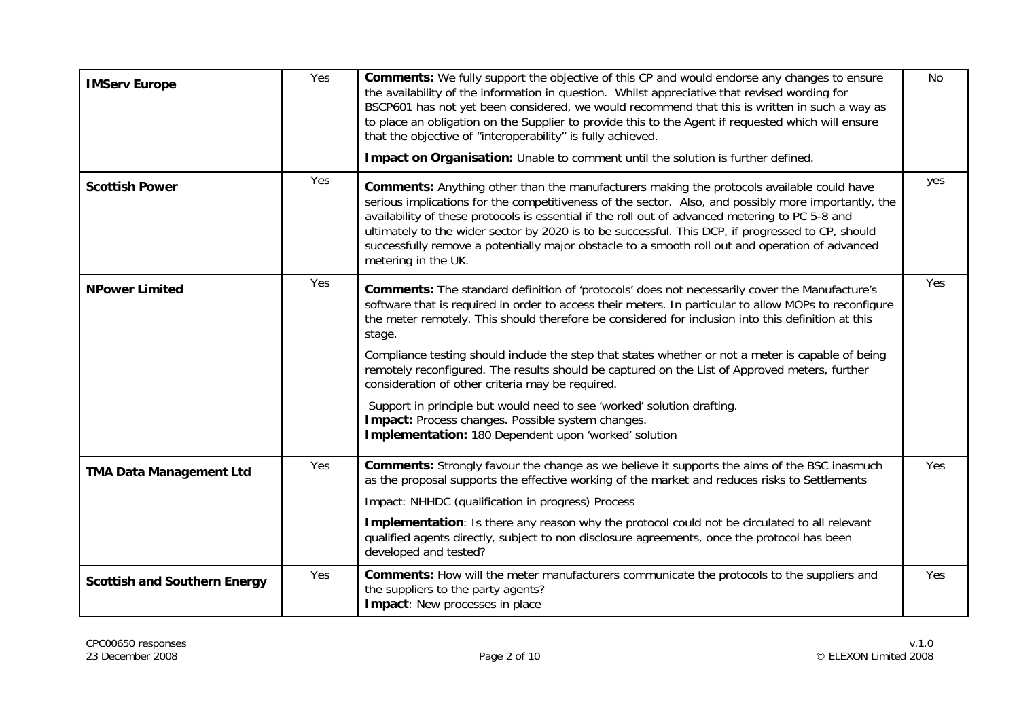| <b>IMServ Europe</b>                | Yes | Comments: We fully support the objective of this CP and would endorse any changes to ensure<br>the availability of the information in question. Whilst appreciative that revised wording for<br>BSCP601 has not yet been considered, we would recommend that this is written in such a way as<br>to place an obligation on the Supplier to provide this to the Agent if requested which will ensure<br>that the objective of "interoperability" is fully achieved.<br>Impact on Organisation: Unable to comment until the solution is further defined.                                                                                                                                                                                                                         | No         |
|-------------------------------------|-----|--------------------------------------------------------------------------------------------------------------------------------------------------------------------------------------------------------------------------------------------------------------------------------------------------------------------------------------------------------------------------------------------------------------------------------------------------------------------------------------------------------------------------------------------------------------------------------------------------------------------------------------------------------------------------------------------------------------------------------------------------------------------------------|------------|
| <b>Scottish Power</b>               | Yes | Comments: Anything other than the manufacturers making the protocols available could have<br>serious implications for the competitiveness of the sector. Also, and possibly more importantly, the<br>availability of these protocols is essential if the roll out of advanced metering to PC 5-8 and<br>ultimately to the wider sector by 2020 is to be successful. This DCP, if progressed to CP, should<br>successfully remove a potentially major obstacle to a smooth roll out and operation of advanced<br>metering in the UK.                                                                                                                                                                                                                                            | yes        |
| <b>NPower Limited</b>               | Yes | <b>Comments:</b> The standard definition of 'protocols' does not necessarily cover the Manufacture's<br>software that is required in order to access their meters. In particular to allow MOPs to reconfigure<br>the meter remotely. This should therefore be considered for inclusion into this definition at this<br>stage.<br>Compliance testing should include the step that states whether or not a meter is capable of being<br>remotely reconfigured. The results should be captured on the List of Approved meters, further<br>consideration of other criteria may be required.<br>Support in principle but would need to see 'worked' solution drafting.<br>Impact: Process changes. Possible system changes.<br>Implementation: 180 Dependent upon 'worked' solution | <b>Yes</b> |
| <b>TMA Data Management Ltd</b>      | Yes | <b>Comments:</b> Strongly favour the change as we believe it supports the aims of the BSC inasmuch<br>as the proposal supports the effective working of the market and reduces risks to Settlements<br>Impact: NHHDC (qualification in progress) Process<br>Implementation: Is there any reason why the protocol could not be circulated to all relevant<br>qualified agents directly, subject to non disclosure agreements, once the protocol has been<br>developed and tested?                                                                                                                                                                                                                                                                                               | Yes        |
| <b>Scottish and Southern Energy</b> | Yes | <b>Comments:</b> How will the meter manufacturers communicate the protocols to the suppliers and<br>the suppliers to the party agents?<br>Impact: New processes in place                                                                                                                                                                                                                                                                                                                                                                                                                                                                                                                                                                                                       | Yes        |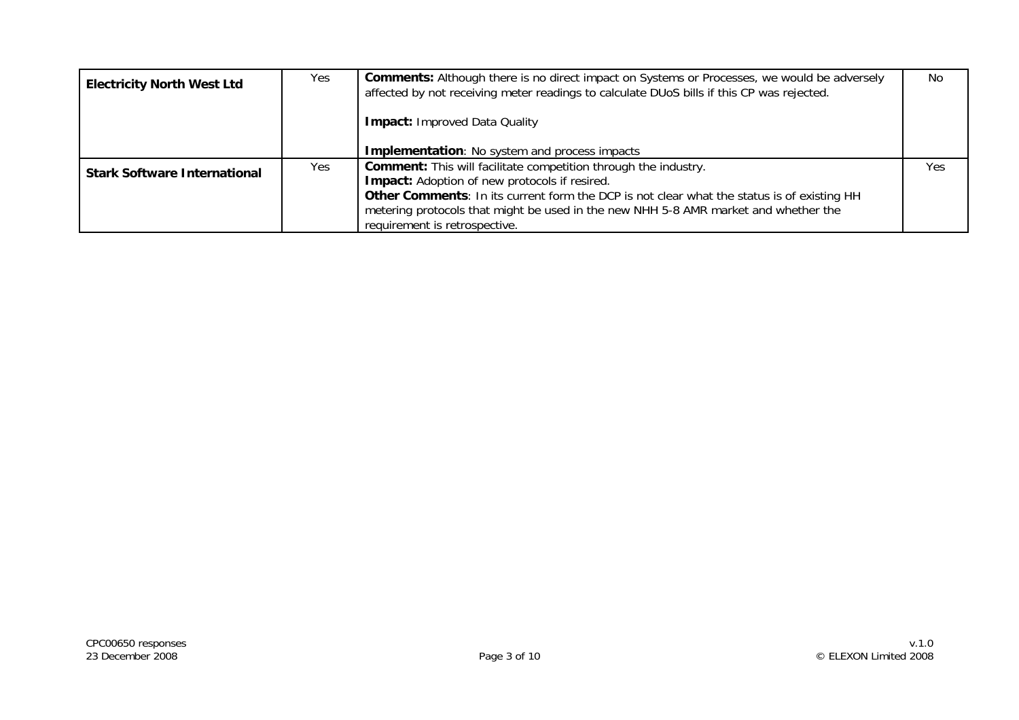| <b>Electricity North West Ltd</b>   | <b>Yes</b> | <b>Comments:</b> Although there is no direct impact on Systems or Processes, we would be adversely<br>affected by not receiving meter readings to calculate DUoS bills if this CP was rejected.<br><b>Impact: Improved Data Quality</b> | <b>No</b> |
|-------------------------------------|------------|-----------------------------------------------------------------------------------------------------------------------------------------------------------------------------------------------------------------------------------------|-----------|
|                                     |            | <b>Implementation:</b> No system and process impacts                                                                                                                                                                                    |           |
| <b>Stark Software International</b> | <b>Yes</b> | <b>Comment:</b> This will facilitate competition through the industry.<br><b>Impact:</b> Adoption of new protocols if resired.<br>Other Comments: In its current form the DCP is not clear what the status is of existing HH            | Yes       |
|                                     |            | metering protocols that might be used in the new NHH 5-8 AMR market and whether the<br>requirement is retrospective.                                                                                                                    |           |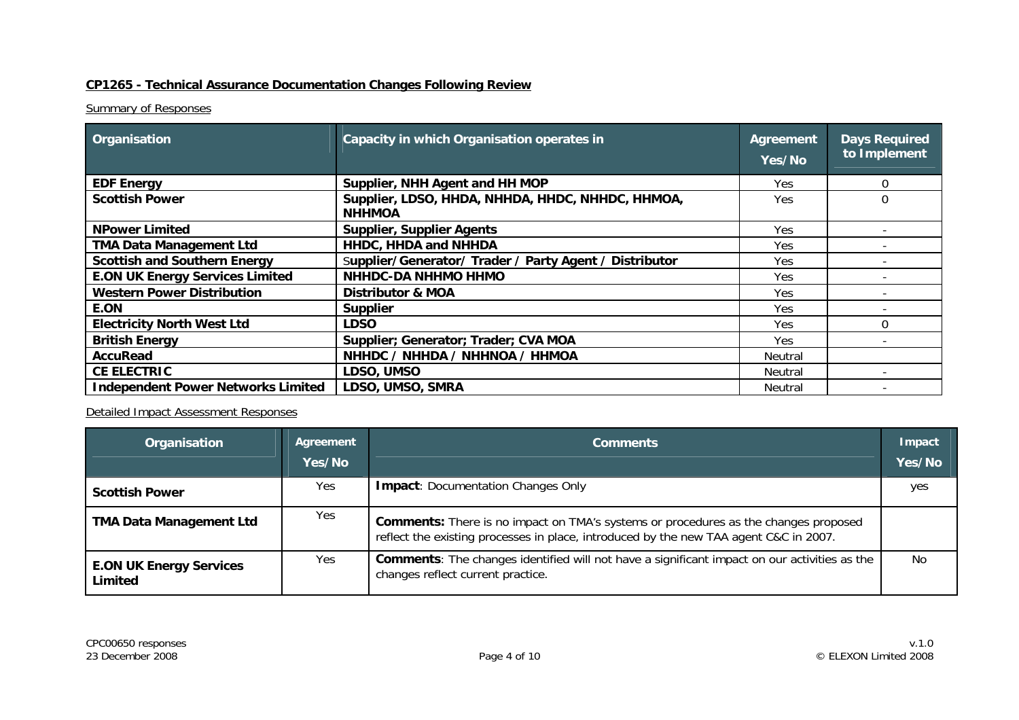## **CP1265 - Technical Assurance Documentation Changes Following Review**

### **Summary of Responses**

| Organisation                              | Capacity in which Organisation operates in                        | Agreement<br>Yes/No | <b>Days Required</b><br>to Implement |
|-------------------------------------------|-------------------------------------------------------------------|---------------------|--------------------------------------|
| <b>EDF Energy</b>                         | Supplier, NHH Agent and HH MOP                                    | <b>Yes</b>          | 0                                    |
| <b>Scottish Power</b>                     | Supplier, LDSO, HHDA, NHHDA, HHDC, NHHDC, HHMOA,<br><b>NHHMOA</b> | Yes                 | 0                                    |
| <b>NPower Limited</b>                     | <b>Supplier, Supplier Agents</b>                                  | Yes                 |                                      |
| <b>TMA Data Management Ltd</b>            | HHDC, HHDA and NHHDA                                              | Yes.                |                                      |
| <b>Scottish and Southern Energy</b>       | Supplier/Generator/ Trader / Party Agent / Distributor            | Yes.                |                                      |
| <b>E.ON UK Energy Services Limited</b>    | <b>NHHDC-DA NHHMO HHMO</b>                                        | Yes.                |                                      |
| <b>Western Power Distribution</b>         | <b>Distributor &amp; MOA</b>                                      | Yes                 |                                      |
| E.ON                                      | <b>Supplier</b>                                                   | Yes                 |                                      |
| <b>Electricity North West Ltd</b>         | <b>LDSO</b>                                                       | Yes                 | $\Omega$                             |
| <b>British Energy</b>                     | Supplier; Generator; Trader; CVA MOA                              | Yes.                |                                      |
| AccuRead                                  | NHHDC / NHHDA / NHHNOA / HHMOA                                    | Neutral             |                                      |
| <b>CE ELECTRIC</b>                        | LDSO, UMSO                                                        | Neutral             |                                      |
| <b>Independent Power Networks Limited</b> | LDSO, UMSO, SMRA                                                  | Neutral             |                                      |

| Organisation                              | Agreement<br>Yes/No | <b>Comments</b>                                                                                                                                                                     |     |
|-------------------------------------------|---------------------|-------------------------------------------------------------------------------------------------------------------------------------------------------------------------------------|-----|
| <b>Scottish Power</b>                     | <b>Yes</b>          | <b>Impact: Documentation Changes Only</b>                                                                                                                                           | yes |
| <b>TMA Data Management Ltd</b>            | Yes                 | <b>Comments:</b> There is no impact on TMA's systems or procedures as the changes proposed<br>reflect the existing processes in place, introduced by the new TAA agent C&C in 2007. |     |
| <b>E.ON UK Energy Services</b><br>Limited | Yes                 | <b>Comments:</b> The changes identified will not have a significant impact on our activities as the<br>changes reflect current practice.                                            | No  |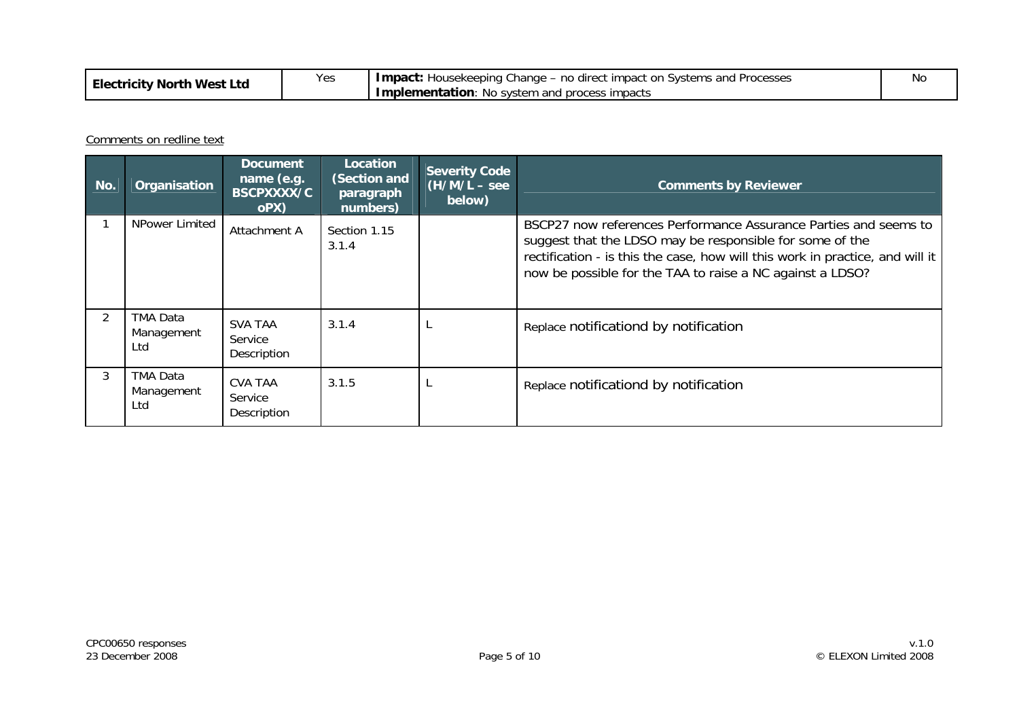| West<br>Ltd<br>⊺North<br><b>Electricity</b> | Yes | -change<br>$\mu_{\rm c}$ – no direct impact on T<br>l Processes<br>ı Systems and<br>'mpact.<br>Housekeepina<br>า and process impacts<br>Implementation:<br>No system | Νo |
|---------------------------------------------|-----|----------------------------------------------------------------------------------------------------------------------------------------------------------------------|----|
|                                             |     |                                                                                                                                                                      |    |

Comments on redline text

| No.            | Organisation                  | <b>Document</b><br>name (e.g.<br><b>BSCPXXXX/C</b><br>oPX) | <b>Location</b><br>(Section and<br>paragraph<br>numbers) | <b>Severity Code</b><br>$(H/M/L - \text{see})$<br>below) | <b>Comments by Reviewer</b>                                                                                                                                                                                                                                                |
|----------------|-------------------------------|------------------------------------------------------------|----------------------------------------------------------|----------------------------------------------------------|----------------------------------------------------------------------------------------------------------------------------------------------------------------------------------------------------------------------------------------------------------------------------|
|                | NPower Limited                | Attachment A                                               | Section 1.15<br>3.1.4                                    |                                                          | BSCP27 now references Performance Assurance Parties and seems to<br>suggest that the LDSO may be responsible for some of the<br>rectification - is this the case, how will this work in practice, and will it<br>now be possible for the TAA to raise a NC against a LDSO? |
| $\overline{2}$ | TMA Data<br>Management<br>Ltd | <b>SVA TAA</b><br>Service<br>Description                   | 3.1.4                                                    |                                                          | Replace notificationd by notification                                                                                                                                                                                                                                      |
| 3              | TMA Data<br>Management<br>Ltd | <b>CVA TAA</b><br>Service<br>Description                   | 3.1.5                                                    |                                                          | Replace notificationd by notification                                                                                                                                                                                                                                      |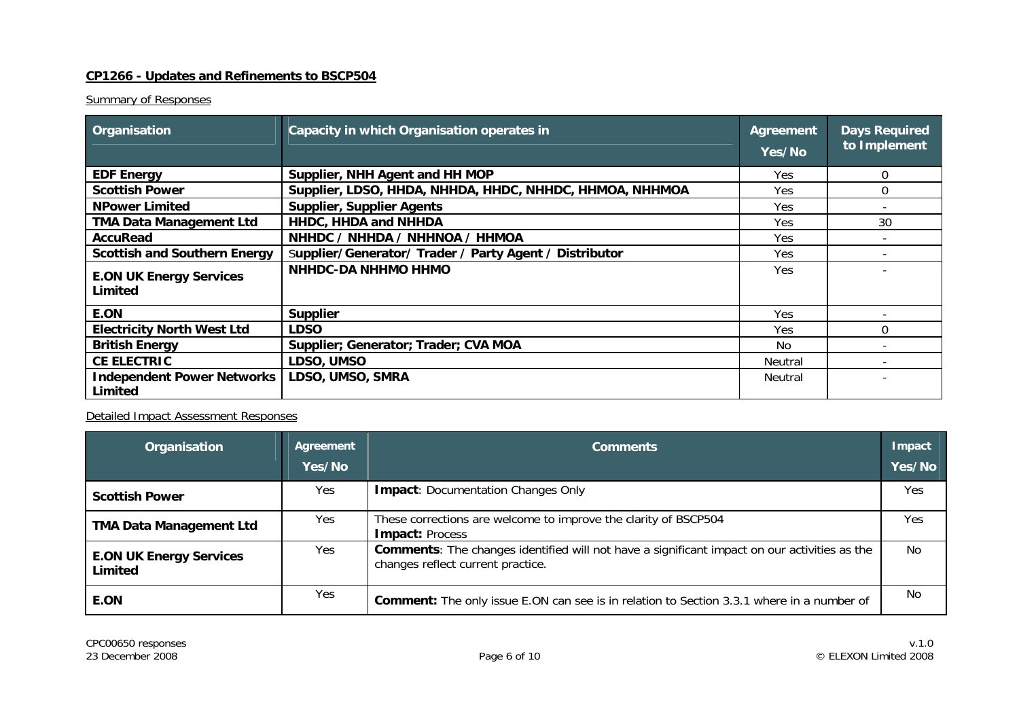#### **CP1266 - Updates and Refinements to BSCP504**

### **Summary of Responses**

| Organisation                                 | Capacity in which Organisation operates in              | Agreement<br>Yes/No | <b>Days Required</b><br>to Implement |
|----------------------------------------------|---------------------------------------------------------|---------------------|--------------------------------------|
| <b>EDF Energy</b>                            | Supplier, NHH Agent and HH MOP                          | Yes.                | 0                                    |
| <b>Scottish Power</b>                        | Supplier, LDSO, HHDA, NHHDA, HHDC, NHHDC, HHMOA, NHHMOA | <b>Yes</b>          | 0                                    |
| <b>NPower Limited</b>                        | <b>Supplier, Supplier Agents</b>                        | Yes                 |                                      |
| <b>TMA Data Management Ltd</b>               | HHDC, HHDA and NHHDA                                    | Yes.                | 30                                   |
| AccuRead                                     | NHHDC / NHHDA / NHHNOA / HHMOA                          | Yes                 |                                      |
| <b>Scottish and Southern Energy</b>          | Supplier/Generator/ Trader / Party Agent / Distributor  | <b>Yes</b>          |                                      |
| <b>E.ON UK Energy Services</b><br>Limited    | NHHDC-DA NHHMO HHMO                                     | Yes.                |                                      |
| E.ON                                         | <b>Supplier</b>                                         | <b>Yes</b>          |                                      |
| <b>Electricity North West Ltd</b>            | <b>LDSO</b>                                             | <b>Yes</b>          | $\Omega$                             |
| <b>British Energy</b>                        | Supplier; Generator; Trader; CVA MOA                    | No                  |                                      |
| <b>CE ELECTRIC</b>                           | LDSO, UMSO                                              | Neutral             |                                      |
| <b>Independent Power Networks</b><br>Limited | LDSO, UMSO, SMRA                                        | Neutral             |                                      |

| Organisation                              | Agreement<br>Yes/No | <b>Comments</b>                                                                                                                          |     |
|-------------------------------------------|---------------------|------------------------------------------------------------------------------------------------------------------------------------------|-----|
| <b>Scottish Power</b>                     | Yes                 | <b>Impact: Documentation Changes Only</b>                                                                                                | Yes |
| <b>TMA Data Management Ltd</b>            | Yes                 | These corrections are welcome to improve the clarity of BSCP504<br><b>Impact: Process</b>                                                | Yes |
| <b>E.ON UK Energy Services</b><br>Limited | Yes.                | <b>Comments:</b> The changes identified will not have a significant impact on our activities as the<br>changes reflect current practice. | No. |
| <b>E.ON</b>                               | Yes                 | <b>Comment:</b> The only issue E.ON can see is in relation to Section 3.3.1 where in a number of                                         | No. |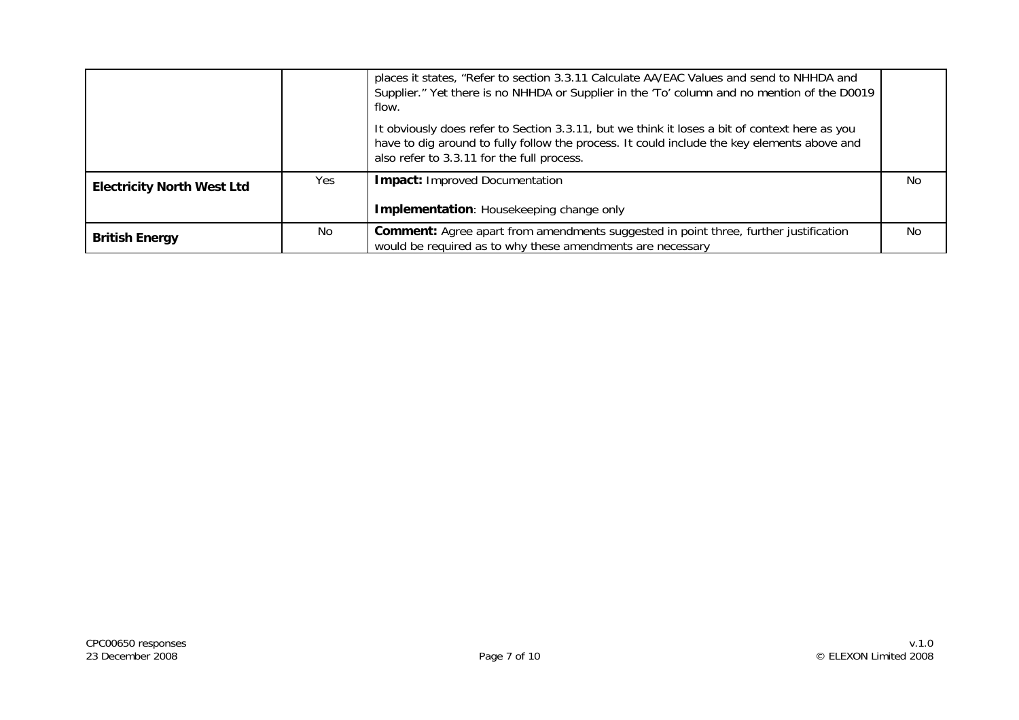|                                   |                | places it states, "Refer to section 3.3.11 Calculate AA/EAC Values and send to NHHDA and<br>Supplier." Yet there is no NHHDA or Supplier in the 'To' column and no mention of the D0019<br>flow.                                           |                |
|-----------------------------------|----------------|--------------------------------------------------------------------------------------------------------------------------------------------------------------------------------------------------------------------------------------------|----------------|
|                                   |                | It obviously does refer to Section 3.3.11, but we think it loses a bit of context here as you<br>have to dig around to fully follow the process. It could include the key elements above and<br>also refer to 3.3.11 for the full process. |                |
| <b>Electricity North West Ltd</b> | Yes            | <b>Impact: Improved Documentation</b>                                                                                                                                                                                                      | No.            |
|                                   |                | <b>Implementation:</b> Housekeeping change only                                                                                                                                                                                            |                |
| <b>British Energy</b>             | N <sub>0</sub> | <b>Comment:</b> Agree apart from amendments suggested in point three, further justification<br>would be required as to why these amendments are necessary                                                                                  | N <sub>0</sub> |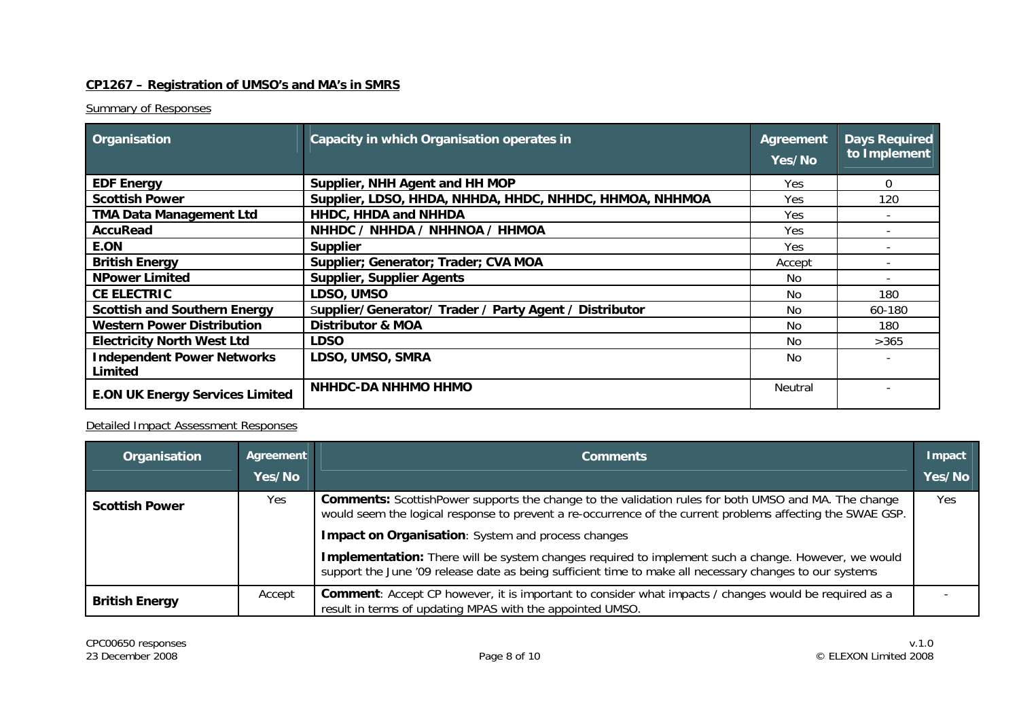## **CP1267 – Registration of UMSO's and MA's in SMRS**

### **Summary of Responses**

| Organisation                                 | Capacity in which Organisation operates in              | Agreement<br>Yes/No | <b>Days Required</b><br>to Implement |
|----------------------------------------------|---------------------------------------------------------|---------------------|--------------------------------------|
| <b>EDF Energy</b>                            | Supplier, NHH Agent and HH MOP                          | Yes.                | 0                                    |
| <b>Scottish Power</b>                        | Supplier, LDSO, HHDA, NHHDA, HHDC, NHHDC, HHMOA, NHHMOA | Yes                 | 120                                  |
| <b>TMA Data Management Ltd</b>               | HHDC, HHDA and NHHDA                                    | Yes                 |                                      |
| <b>AccuRead</b>                              | NHHDC / NHHDA / NHHNOA / HHMOA                          | Yes                 |                                      |
| E.ON                                         | <b>Supplier</b>                                         | Yes.                |                                      |
| <b>British Energy</b>                        | Supplier; Generator; Trader; CVA MOA                    | Accept              |                                      |
| <b>NPower Limited</b>                        | <b>Supplier, Supplier Agents</b>                        | No.                 |                                      |
| <b>CE ELECTRIC</b>                           | LDSO, UMSO                                              | <b>No</b>           | 180                                  |
| <b>Scottish and Southern Energy</b>          | Supplier/Generator/ Trader / Party Agent / Distributor  | No                  | 60-180                               |
| <b>Western Power Distribution</b>            | <b>Distributor &amp; MOA</b>                            | No.                 | 180                                  |
| <b>Electricity North West Ltd</b>            | <b>LDSO</b>                                             | No.                 | >365                                 |
| <b>Independent Power Networks</b><br>Limited | LDSO, UMSO, SMRA                                        | No.                 |                                      |
| <b>E.ON UK Energy Services Limited</b>       | <b>NHHDC-DA NHHMO HHMO</b>                              | Neutral             |                                      |

| Organisation          | Agreement<br>Yes/No | <b>Comments</b>                                                                                                                                                                                                           | Impact<br>Yes/No |  |  |
|-----------------------|---------------------|---------------------------------------------------------------------------------------------------------------------------------------------------------------------------------------------------------------------------|------------------|--|--|
| <b>Scottish Power</b> | Yes.                | <b>Comments:</b> ScottishPower supports the change to the validation rules for both UMSO and MA. The change<br>would seem the logical response to prevent a re-occurrence of the current problems affecting the SWAE GSP. | <b>Yes</b>       |  |  |
|                       |                     | <b>Impact on Organisation:</b> System and process changes                                                                                                                                                                 |                  |  |  |
|                       |                     | Implementation: There will be system changes required to implement such a change. However, we would<br>support the June '09 release date as being sufficient time to make all necessary changes to our systems            |                  |  |  |
| <b>British Energy</b> | Accept              | <b>Comment:</b> Accept CP however, it is important to consider what impacts / changes would be required as a<br>result in terms of updating MPAS with the appointed UMSO.                                                 |                  |  |  |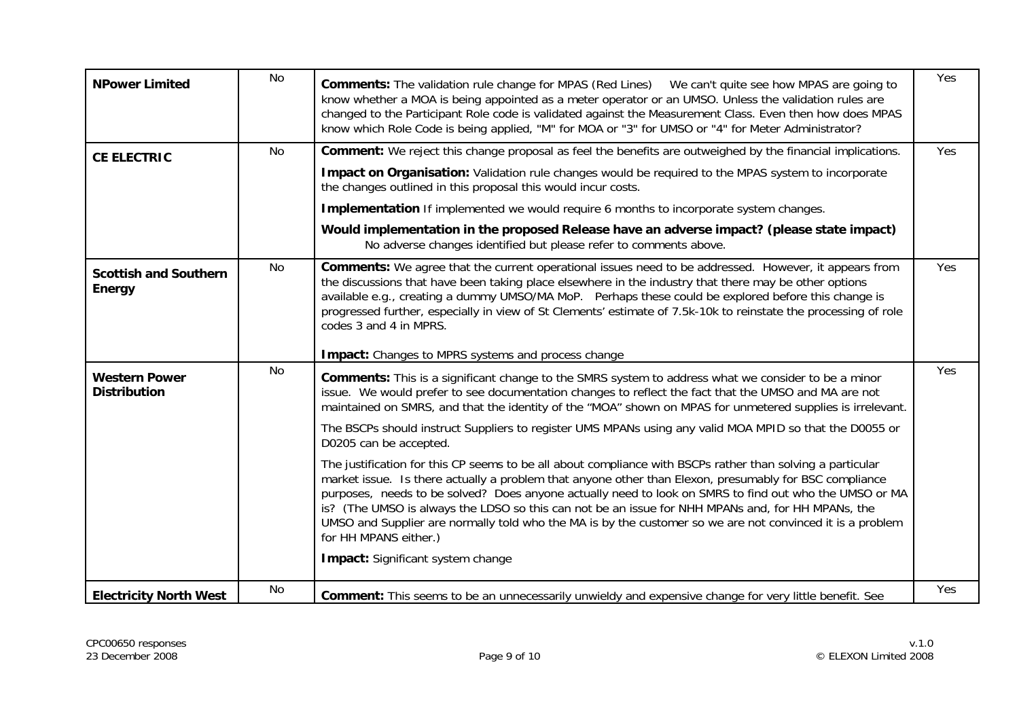| <b>NPower Limited</b>                       | <b>No</b> | <b>Comments:</b> The validation rule change for MPAS (Red Lines) We can't quite see how MPAS are going to<br>know whether a MOA is being appointed as a meter operator or an UMSO. Unless the validation rules are<br>changed to the Participant Role code is validated against the Measurement Class. Even then how does MPAS<br>know which Role Code is being applied, "M" for MOA or "3" for UMSO or "4" for Meter Administrator?                                                                                                                                                                                                                                                                                                                                                                                                                                                                                                                                                                                                                                                           | Yes |
|---------------------------------------------|-----------|------------------------------------------------------------------------------------------------------------------------------------------------------------------------------------------------------------------------------------------------------------------------------------------------------------------------------------------------------------------------------------------------------------------------------------------------------------------------------------------------------------------------------------------------------------------------------------------------------------------------------------------------------------------------------------------------------------------------------------------------------------------------------------------------------------------------------------------------------------------------------------------------------------------------------------------------------------------------------------------------------------------------------------------------------------------------------------------------|-----|
| <b>CE ELECTRIC</b>                          | No        | <b>Comment:</b> We reject this change proposal as feel the benefits are outweighed by the financial implications.<br>Impact on Organisation: Validation rule changes would be required to the MPAS system to incorporate<br>the changes outlined in this proposal this would incur costs.<br><b>Implementation</b> If implemented we would require 6 months to incorporate system changes.<br>Would implementation in the proposed Release have an adverse impact? (please state impact)<br>No adverse changes identified but please refer to comments above.                                                                                                                                                                                                                                                                                                                                                                                                                                                                                                                                  | Yes |
| <b>Scottish and Southern</b><br>Energy      | No        | Comments: We agree that the current operational issues need to be addressed. However, it appears from<br>the discussions that have been taking place elsewhere in the industry that there may be other options<br>available e.g., creating a dummy UMSO/MA MoP. Perhaps these could be explored before this change is<br>progressed further, especially in view of St Clements' estimate of 7.5k-10k to reinstate the processing of role<br>codes 3 and 4 in MPRS.<br><b>Impact:</b> Changes to MPRS systems and process change                                                                                                                                                                                                                                                                                                                                                                                                                                                                                                                                                                | Yes |
| <b>Western Power</b><br><b>Distribution</b> | <b>No</b> | <b>Comments:</b> This is a significant change to the SMRS system to address what we consider to be a minor<br>issue. We would prefer to see documentation changes to reflect the fact that the UMSO and MA are not<br>maintained on SMRS, and that the identity of the "MOA" shown on MPAS for unmetered supplies is irrelevant.<br>The BSCPs should instruct Suppliers to register UMS MPANs using any valid MOA MPID so that the D0055 or<br>D0205 can be accepted.<br>The justification for this CP seems to be all about compliance with BSCPs rather than solving a particular<br>market issue. Is there actually a problem that anyone other than Elexon, presumably for BSC compliance<br>purposes, needs to be solved? Does anyone actually need to look on SMRS to find out who the UMSO or MA<br>is? (The UMSO is always the LDSO so this can not be an issue for NHH MPANs and, for HH MPANs, the<br>UMSO and Supplier are normally told who the MA is by the customer so we are not convinced it is a problem<br>for HH MPANS either.)<br><b>Impact:</b> Significant system change | Yes |
| <b>Electricity North West</b>               | No        | Comment: This seems to be an unnecessarily unwieldy and expensive change for very little benefit. See                                                                                                                                                                                                                                                                                                                                                                                                                                                                                                                                                                                                                                                                                                                                                                                                                                                                                                                                                                                          | Yes |